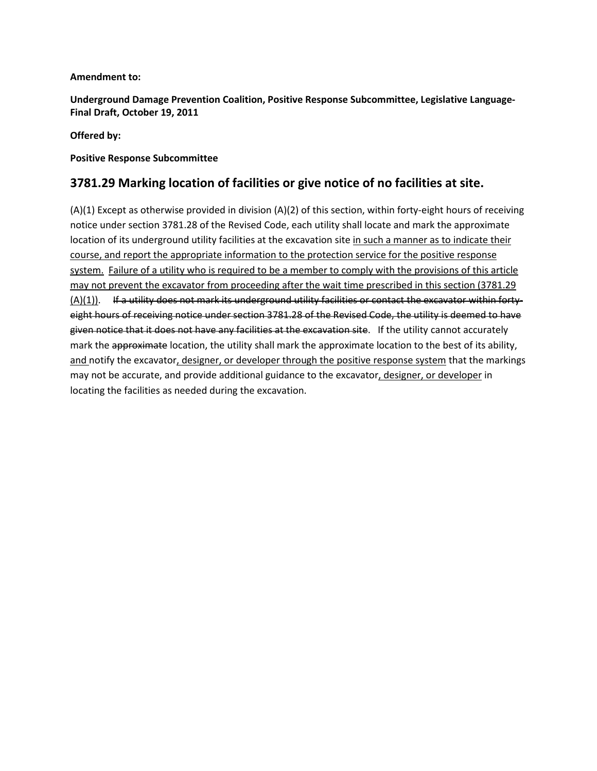### **Amendment to:**

**Underground Damage Prevention Coalition, Positive Response Subcommittee, Legislative Language-Final Draft, October 19, 2011**

### **Offered by:**

### **Positive Response Subcommittee**

## **3781.29 Marking location of facilities or give notice of no facilities at site.**

(A)(1) Except as otherwise provided in division (A)(2) of this section, within forty-eight hours of receiving notice under section 3781.28 of the Revised Code, each utility shall locate and mark the approximate location of its underground utility facilities at the excavation site in such a manner as to indicate their course, and report the appropriate information to the protection service for the positive response system. Failure of a utility who is required to be a member to comply with the provisions of this article may not prevent the excavator from proceeding after the wait time prescribed in this section (3781.29 (A)(1)). If a utility does not mark its underground utility facilities or contact the excavator within fortyeight hours of receiving notice under section 3781.28 of the Revised Code, the utility is deemed to have given notice that it does not have any facilities at the excavation site. If the utility cannot accurately mark the approximate location, the utility shall mark the approximate location to the best of its ability, and notify the excavator, designer, or developer through the positive response system that the markings may not be accurate, and provide additional guidance to the excavator, designer, or developer in locating the facilities as needed during the excavation.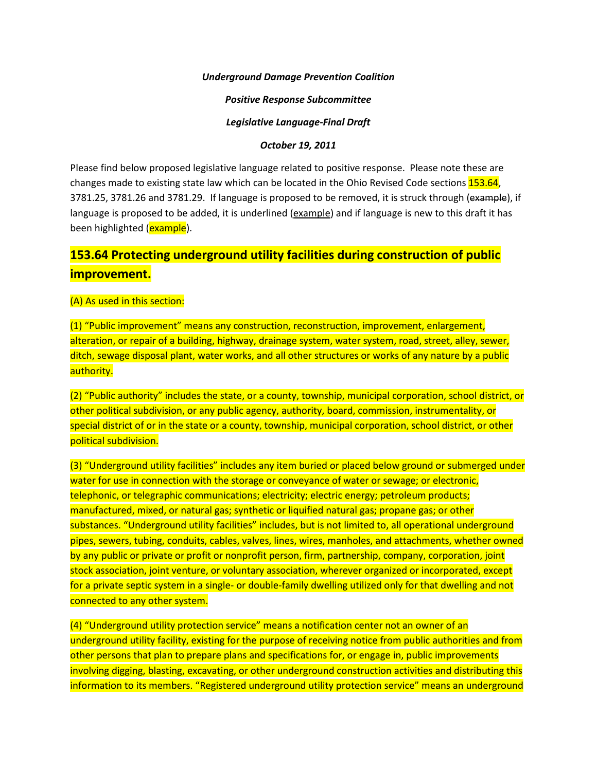#### *Underground Damage Prevention Coalition*

#### *Positive Response Subcommittee*

#### *Legislative Language-Final Draft*

#### *October 19, 2011*

Please find below proposed legislative language related to positive response. Please note these are changes made to existing state law which can be located in the Ohio Revised Code sections 153.64, 3781.25, 3781.26 and 3781.29. If language is proposed to be removed, it is struck through (example), if language is proposed to be added, it is underlined (example) and if language is new to this draft it has been highlighted (**example**).

# **153.64 Protecting underground utility facilities during construction of public improvement.**

#### (A) As used in this section:

(1) "Public improvement" means any construction, reconstruction, improvement, enlargement, alteration, or repair of a building, highway, drainage system, water system, road, street, alley, sewer, ditch, sewage disposal plant, water works, and all other structures or works of any nature by a public authority.

(2) "Public authority" includes the state, or a county, township, municipal corporation, school district, or other political subdivision, or any public agency, authority, board, commission, instrumentality, or special district of or in the state or a county, township, municipal corporation, school district, or other political subdivision.

(3) "Underground utility facilities" includes any item buried or placed below ground or submerged under water for use in connection with the storage or conveyance of water or sewage; or electronic, telephonic, or telegraphic communications; electricity; electric energy; petroleum products; manufactured, mixed, or natural gas; synthetic or liquified natural gas; propane gas; or other substances. "Underground utility facilities" includes, but is not limited to, all operational underground pipes, sewers, tubing, conduits, cables, valves, lines, wires, manholes, and attachments, whether owned by any public or private or profit or nonprofit person, firm, partnership, company, corporation, joint stock association, joint venture, or voluntary association, wherever organized or incorporated, except for a private septic system in a single- or double-family dwelling utilized only for that dwelling and not connected to any other system.

(4) "Underground utility protection service" means a notification center not an owner of an underground utility facility, existing for the purpose of receiving notice from public authorities and from other persons that plan to prepare plans and specifications for, or engage in, public improvements involving digging, blasting, excavating, or other underground construction activities and distributing this information to its members. "Registered underground utility protection service" means an underground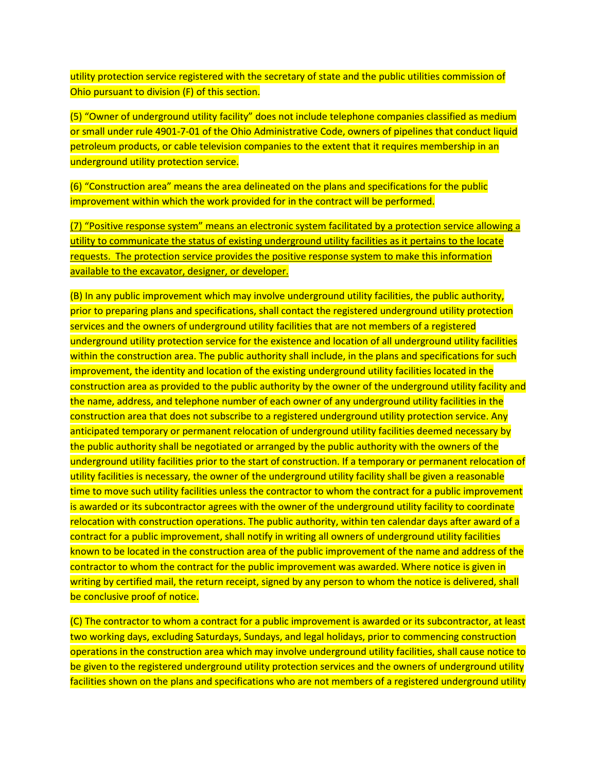utility protection service registered with the secretary of state and the public utilities commission of Ohio pursuant to division (F) of this section.

(5) "Owner of underground utility facility" does not include telephone companies classified as medium or small under rule 4901-7-01 of the Ohio Administrative Code, owners of pipelines that conduct liquid petroleum products, or cable television companies to the extent that it requires membership in an underground utility protection service.

(6) "Construction area" means the area delineated on the plans and specifications for the public improvement within which the work provided for in the contract will be performed.

(7) "Positive response system" means an electronic system facilitated by a protection service allowing a utility to communicate the status of existing underground utility facilities as it pertains to the locate requests. The protection service provides the positive response system to make this information available to the excavator, designer, or developer.

(B) In any public improvement which may involve underground utility facilities, the public authority, prior to preparing plans and specifications, shall contact the registered underground utility protection services and the owners of underground utility facilities that are not members of a registered underground utility protection service for the existence and location of all underground utility facilities within the construction area. The public authority shall include, in the plans and specifications for such improvement, the identity and location of the existing underground utility facilities located in the construction area as provided to the public authority by the owner of the underground utility facility and the name, address, and telephone number of each owner of any underground utility facilities in the construction area that does not subscribe to a registered underground utility protection service. Any anticipated temporary or permanent relocation of underground utility facilities deemed necessary by the public authority shall be negotiated or arranged by the public authority with the owners of the underground utility facilities prior to the start of construction. If a temporary or permanent relocation of utility facilities is necessary, the owner of the underground utility facility shall be given a reasonable time to move such utility facilities unless the contractor to whom the contract for a public improvement is awarded or its subcontractor agrees with the owner of the underground utility facility to coordinate relocation with construction operations. The public authority, within ten calendar days after award of a contract for a public improvement, shall notify in writing all owners of underground utility facilities known to be located in the construction area of the public improvement of the name and address of the contractor to whom the contract for the public improvement was awarded. Where notice is given in writing by certified mail, the return receipt, signed by any person to whom the notice is delivered, shall be conclusive proof of notice.

(C) The contractor to whom a contract for a public improvement is awarded or its subcontractor, at least two working days, excluding Saturdays, Sundays, and legal holidays, prior to commencing construction operations in the construction area which may involve underground utility facilities, shall cause notice to be given to the registered underground utility protection services and the owners of underground utility facilities shown on the plans and specifications who are not members of a registered underground utility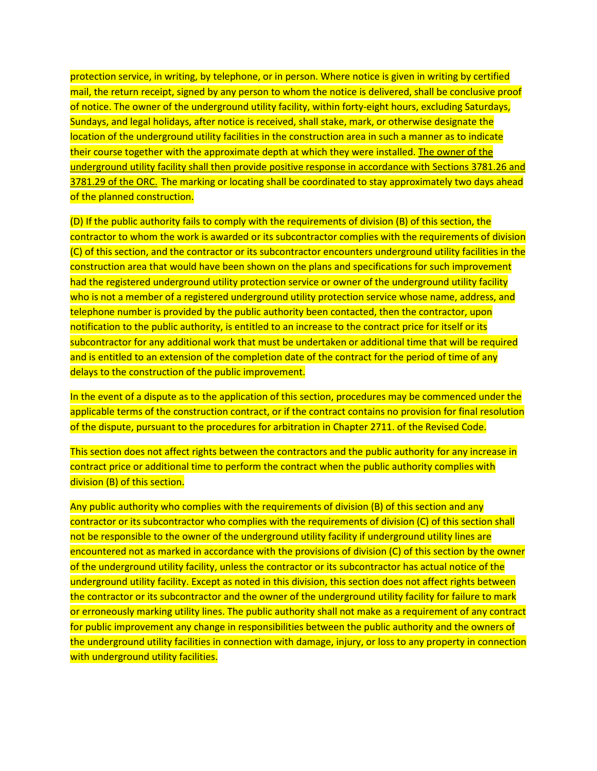protection service, in writing, by telephone, or in person. Where notice is given in writing by certified mail, the return receipt, signed by any person to whom the notice is delivered, shall be conclusive proof of notice. The owner of the underground utility facility, within forty-eight hours, excluding Saturdays, Sundays, and legal holidays, after notice is received, shall stake, mark, or otherwise designate the location of the underground utility facilities in the construction area in such a manner as to indicate their course together with the approximate depth at which they were installed. The owner of the underground utility facility shall then provide positive response in accordance with Sections 3781.26 and 3781.29 of the ORC. The marking or locating shall be coordinated to stay approximately two days ahead of the planned construction.

(D) If the public authority fails to comply with the requirements of division (B) of this section, the contractor to whom the work is awarded or its subcontractor complies with the requirements of division (C) of this section, and the contractor or its subcontractor encounters underground utility facilities in the construction area that would have been shown on the plans and specifications for such improvement had the registered underground utility protection service or owner of the underground utility facility who is not a member of a registered underground utility protection service whose name, address, and telephone number is provided by the public authority been contacted, then the contractor, upon notification to the public authority, is entitled to an increase to the contract price for itself or its subcontractor for any additional work that must be undertaken or additional time that will be required and is entitled to an extension of the completion date of the contract for the period of time of any delays to the construction of the public improvement.

In the event of a dispute as to the application of this section, procedures may be commenced under the applicable terms of the construction contract, or if the contract contains no provision for final resolution of the dispute, pursuant to the procedures for arbitration in Chapter 2711. of the Revised Code.

This section does not affect rights between the contractors and the public authority for any increase in contract price or additional time to perform the contract when the public authority complies with division (B) of this section.

Any public authority who complies with the requirements of division (B) of this section and any contractor or its subcontractor who complies with the requirements of division (C) of this section shall not be responsible to the owner of the underground utility facility if underground utility lines are encountered not as marked in accordance with the provisions of division (C) of this section by the owner of the underground utility facility, unless the contractor or its subcontractor has actual notice of the underground utility facility. Except as noted in this division, this section does not affect rights between the contractor or its subcontractor and the owner of the underground utility facility for failure to mark or erroneously marking utility lines. The public authority shall not make as a requirement of any contract for public improvement any change in responsibilities between the public authority and the owners of the underground utility facilities in connection with damage, injury, or loss to any property in connection with underground utility facilities.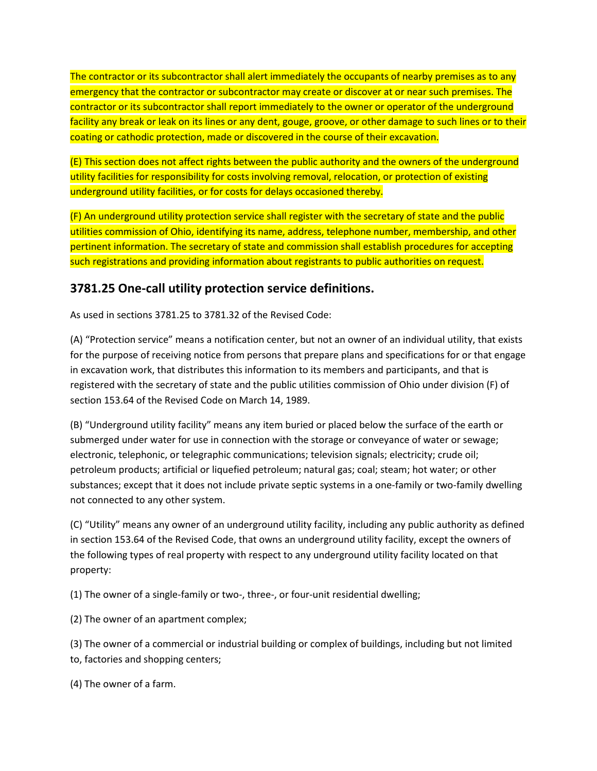The contractor or its subcontractor shall alert immediately the occupants of nearby premises as to any emergency that the contractor or subcontractor may create or discover at or near such premises. The contractor or its subcontractor shall report immediately to the owner or operator of the underground facility any break or leak on its lines or any dent, gouge, groove, or other damage to such lines or to their coating or cathodic protection, made or discovered in the course of their excavation.

(E) This section does not affect rights between the public authority and the owners of the underground utility facilities for responsibility for costs involving removal, relocation, or protection of existing underground utility facilities, or for costs for delays occasioned thereby.

(F) An underground utility protection service shall register with the secretary of state and the public utilities commission of Ohio, identifying its name, address, telephone number, membership, and other pertinent information. The secretary of state and commission shall establish procedures for accepting such registrations and providing information about registrants to public authorities on request.

## **3781.25 One-call utility protection service definitions.**

As used in sections 3781.25 to 3781.32 of the Revised Code:

(A) "Protection service" means a notification center, but not an owner of an individual utility, that exists for the purpose of receiving notice from persons that prepare plans and specifications for or that engage in excavation work, that distributes this information to its members and participants, and that is registered with the secretary of state and the public utilities commission of Ohio under division (F) of section 153.64 of the Revised Code on March 14, 1989.

(B) "Underground utility facility" means any item buried or placed below the surface of the earth or submerged under water for use in connection with the storage or conveyance of water or sewage; electronic, telephonic, or telegraphic communications; television signals; electricity; crude oil; petroleum products; artificial or liquefied petroleum; natural gas; coal; steam; hot water; or other substances; except that it does not include private septic systems in a one-family or two-family dwelling not connected to any other system.

(C) "Utility" means any owner of an underground utility facility, including any public authority as defined in section 153.64 of the Revised Code, that owns an underground utility facility, except the owners of the following types of real property with respect to any underground utility facility located on that property:

(1) The owner of a single-family or two-, three-, or four-unit residential dwelling;

(2) The owner of an apartment complex;

(3) The owner of a commercial or industrial building or complex of buildings, including but not limited to, factories and shopping centers;

(4) The owner of a farm.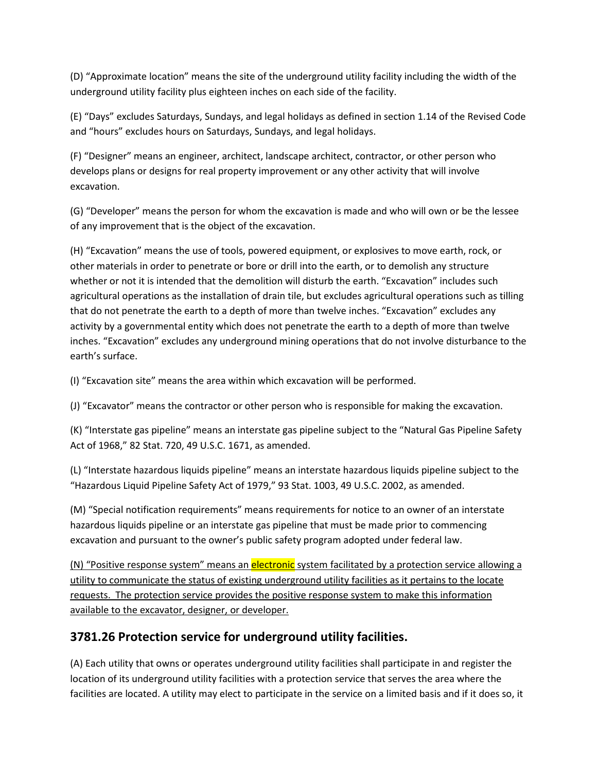(D) "Approximate location" means the site of the underground utility facility including the width of the underground utility facility plus eighteen inches on each side of the facility.

(E) "Days" excludes Saturdays, Sundays, and legal holidays as defined in section 1.14 of the Revised Code and "hours" excludes hours on Saturdays, Sundays, and legal holidays.

(F) "Designer" means an engineer, architect, landscape architect, contractor, or other person who develops plans or designs for real property improvement or any other activity that will involve excavation.

(G) "Developer" means the person for whom the excavation is made and who will own or be the lessee of any improvement that is the object of the excavation.

(H) "Excavation" means the use of tools, powered equipment, or explosives to move earth, rock, or other materials in order to penetrate or bore or drill into the earth, or to demolish any structure whether or not it is intended that the demolition will disturb the earth. "Excavation" includes such agricultural operations as the installation of drain tile, but excludes agricultural operations such as tilling that do not penetrate the earth to a depth of more than twelve inches. "Excavation" excludes any activity by a governmental entity which does not penetrate the earth to a depth of more than twelve inches. "Excavation" excludes any underground mining operations that do not involve disturbance to the earth's surface.

(I) "Excavation site" means the area within which excavation will be performed.

(J) "Excavator" means the contractor or other person who is responsible for making the excavation.

(K) "Interstate gas pipeline" means an interstate gas pipeline subject to the "Natural Gas Pipeline Safety Act of 1968," 82 Stat. 720, 49 U.S.C. 1671, as amended.

(L) "Interstate hazardous liquids pipeline" means an interstate hazardous liquids pipeline subject to the "Hazardous Liquid Pipeline Safety Act of 1979," 93 Stat. 1003, 49 U.S.C. 2002, as amended.

(M) "Special notification requirements" means requirements for notice to an owner of an interstate hazardous liquids pipeline or an interstate gas pipeline that must be made prior to commencing excavation and pursuant to the owner's public safety program adopted under federal law.

(N) "Positive response system" means an *electronic* system facilitated by a protection service allowing a utility to communicate the status of existing underground utility facilities as it pertains to the locate requests. The protection service provides the positive response system to make this information available to the excavator, designer, or developer.

# **3781.26 Protection service for underground utility facilities.**

(A) Each utility that owns or operates underground utility facilities shall participate in and register the location of its underground utility facilities with a protection service that serves the area where the facilities are located. A utility may elect to participate in the service on a limited basis and if it does so, it